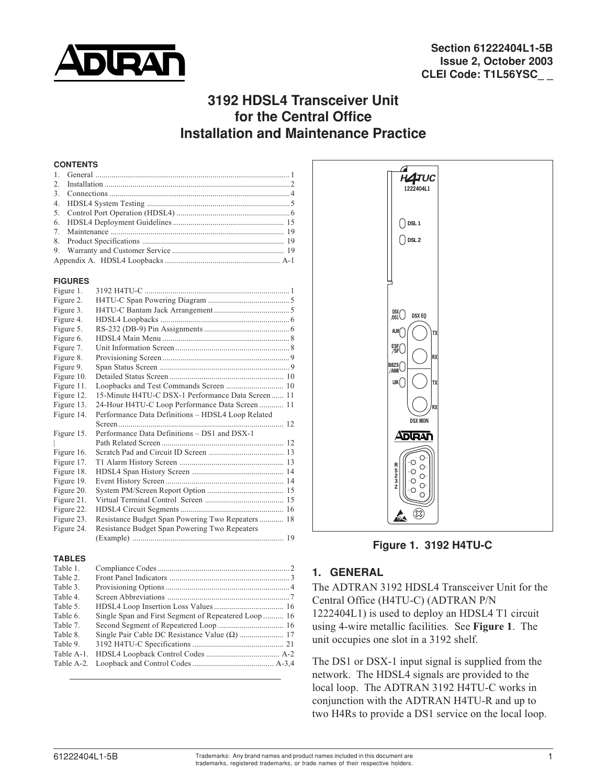

# **3192 HDSL4 Transceiver Unit for the Central Office Installation and Maintenance Practice**

#### **CONTENTS**

#### **FIGURES**

| Figure 1.  |                                                   |  |
|------------|---------------------------------------------------|--|
| Figure 2.  |                                                   |  |
| Figure 3.  |                                                   |  |
| Figure 4.  |                                                   |  |
| Figure 5.  |                                                   |  |
| Figure 6.  |                                                   |  |
| Figure 7.  |                                                   |  |
| Figure 8.  |                                                   |  |
| Figure 9.  |                                                   |  |
| Figure 10. |                                                   |  |
| Figure 11. |                                                   |  |
| Figure 12. | 15-Minute H4TU-C DSX-1 Performance Data Screen 11 |  |
| Figure 13. | 24-Hour H4TU-C Loop Performance Data Screen  11   |  |
| Figure 14. | Performance Data Definitions - HDSL4 Loop Related |  |
|            |                                                   |  |
| Figure 15. | Performance Data Definitions - DS1 and DSX-1      |  |
|            |                                                   |  |
| Figure 16. |                                                   |  |
| Figure 17. |                                                   |  |
| Figure 18. |                                                   |  |
| Figure 19. |                                                   |  |
| Figure 20. |                                                   |  |
| Figure 21. |                                                   |  |
| Figure 22. |                                                   |  |
| Figure 23. | Resistance Budget Span Powering Two Repeaters  18 |  |
| Figure 24. | Resistance Budget Span Powering Two Repeaters     |  |
|            |                                                   |  |
|            |                                                   |  |

#### **TABLES**

| Table 1.   |                                                     |  |
|------------|-----------------------------------------------------|--|
| Table 2.   |                                                     |  |
| Table 3.   |                                                     |  |
| Table 4.   |                                                     |  |
| Table 5.   |                                                     |  |
| Table 6.   | Single Span and First Segment of Repeatered Loop 16 |  |
| Table 7.   |                                                     |  |
| Table 8.   |                                                     |  |
| Table 9.   |                                                     |  |
| Table A-1. |                                                     |  |
| Table A-2. |                                                     |  |
|            |                                                     |  |



**Figure 1. 3192 H4TU-C**

#### **1. GENERAL**

The ADTRAN 3192 HDSL4 Transceiver Unit for the Central Office (H4TU-C) (ADTRAN P/N 1222404L1) is used to deploy an HDSL4 T1 circuit using 4-wire metallic facilities. See **Figure 1**. The unit occupies one slot in a 3192 shelf.

The DS1 or DSX-1 input signal is supplied from the network. The HDSL4 signals are provided to the local loop. The ADTRAN 3192 H4TU-C works in conjunction with the ADTRAN H4TU-R and up to two H4Rs to provide a DS1 service on the local loop.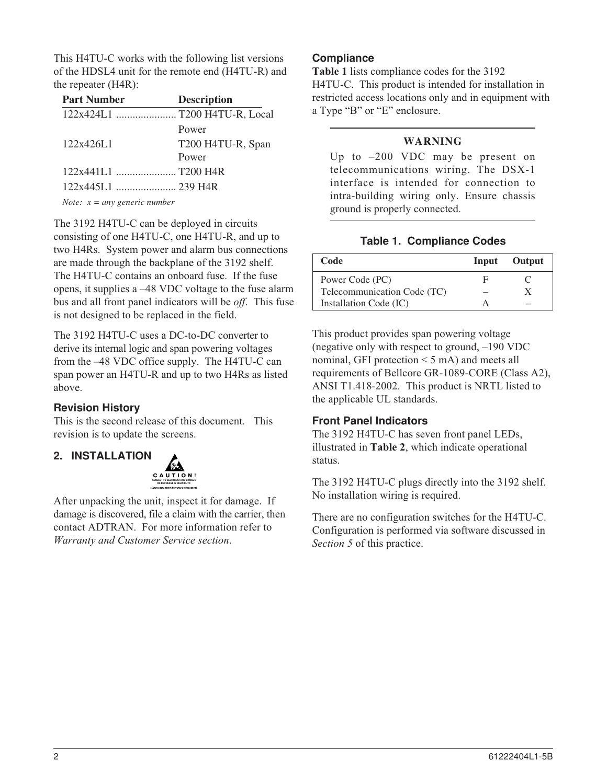This H4TU-C works with the following list versions of the HDSL4 unit for the remote end (H4TU-R) and the repeater (H4R):

| <b>Part Number</b> | <b>Description</b> |
|--------------------|--------------------|
|                    |                    |
|                    | Power              |
| 122x426L1          | T200 H4TU-R, Span  |
|                    | Power              |
|                    |                    |
|                    |                    |
|                    |                    |

*Note: x = any generic number*

The 3192 H4TU-C can be deployed in circuits consisting of one H4TU-C, one H4TU-R, and up to two H4Rs. System power and alarm bus connections are made through the backplane of the 3192 shelf. The H4TU-C contains an onboard fuse. If the fuse opens, it supplies a –48 VDC voltage to the fuse alarm bus and all front panel indicators will be *off*. This fuse is not designed to be replaced in the field.

The 3192 H4TU-C uses a DC-to-DC converter to derive its internal logic and span powering voltages from the –48 VDC office supply. The H4TU-C can span power an H4TU-R and up to two H4Rs as listed above.

### **Revision History**

This is the second release of this document. This revision is to update the screens.

#### **2. INSTALLATION**



After unpacking the unit, inspect it for damage. If damage is discovered, file a claim with the carrier, then contact ADTRAN. For more information refer to *Warranty and Customer Service section*.

#### **Compliance**

**Table 1** lists compliance codes for the 3192 H4TU-C. This product is intended for installation in restricted access locations only and in equipment with a Type "B" or "E" enclosure.

#### **WARNING**

Up to –200 VDC may be present on telecommunications wiring. The DSX-1 interface is intended for connection to intra-building wiring only. Ensure chassis ground is properly connected.

### **Table 1. Compliance Codes**

| Code                        |   | Input Output |
|-----------------------------|---|--------------|
| Power Code (PC)             | ы |              |
| Telecommunication Code (TC) |   |              |
| Installation Code (IC)      |   |              |

This product provides span powering voltage (negative only with respect to ground, –190 VDC nominal, GFI protection < 5 mA) and meets all requirements of Bellcore GR-1089-CORE (Class A2), ANSI T1.418-2002. This product is NRTL listed to the applicable UL standards.

#### **Front Panel Indicators**

The 3192 H4TU-C has seven front panel LEDs, illustrated in **Table 2**, which indicate operational status.

The 3192 H4TU-C plugs directly into the 3192 shelf. No installation wiring is required.

There are no configuration switches for the H4TU-C. Configuration is performed via software discussed in *Section 5* of this practice.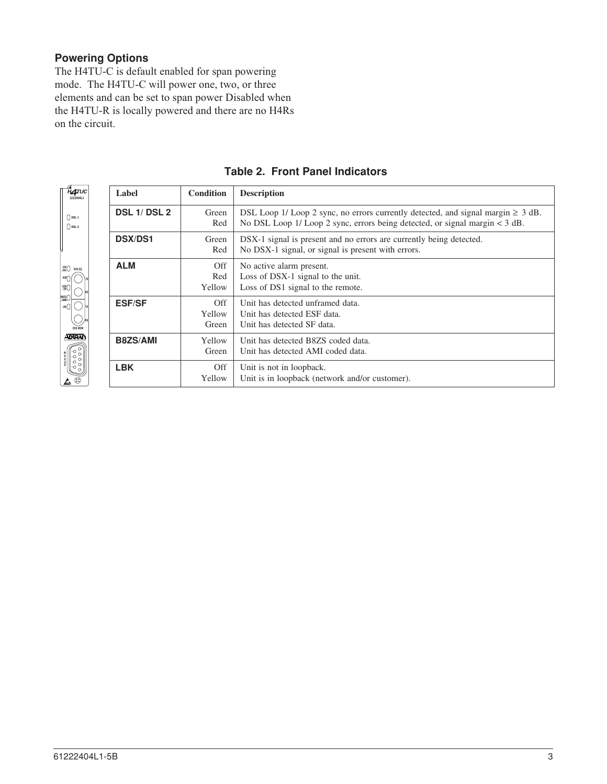### **Powering Options**

The H4TU-C is default enabled for span powering mode. The H4TU-C will power one, two, or three elements and can be set to span power Disabled when the H4TU-R is locally powered and there are no H4Rs on the circuit.



**Table 2. Front Panel Indicators**

| Label               | <b>Condition</b>        | <b>Description</b>                                                                                                                                                    |
|---------------------|-------------------------|-----------------------------------------------------------------------------------------------------------------------------------------------------------------------|
| <b>DSL 1/ DSL 2</b> | Green<br>Red            | DSL Loop 1/ Loop 2 sync, no errors currently detected, and signal margin $\geq 3$ dB.<br>No DSL Loop 1/Loop 2 sync, errors being detected, or signal margin $<$ 3 dB. |
| <b>DSX/DS1</b>      | Green<br>Red            | DSX-1 signal is present and no errors are currently being detected.<br>No DSX-1 signal, or signal is present with errors.                                             |
| <b>ALM</b>          | Off<br>Red<br>Yellow    | No active alarm present.<br>Loss of DSX-1 signal to the unit.<br>Loss of DS1 signal to the remote.                                                                    |
| <b>ESF/SF</b>       | Off.<br>Yellow<br>Green | Unit has detected unframed data.<br>Unit has detected ESF data.<br>Unit has detected SF data.                                                                         |
| <b>B8ZS/AMI</b>     | Yellow<br>Green         | Unit has detected B8ZS coded data.<br>Unit has detected AMI coded data.                                                                                               |
| <b>LBK</b>          | Off<br>Yellow           | Unit is not in loopback.<br>Unit is in loopback (network and/or customer).                                                                                            |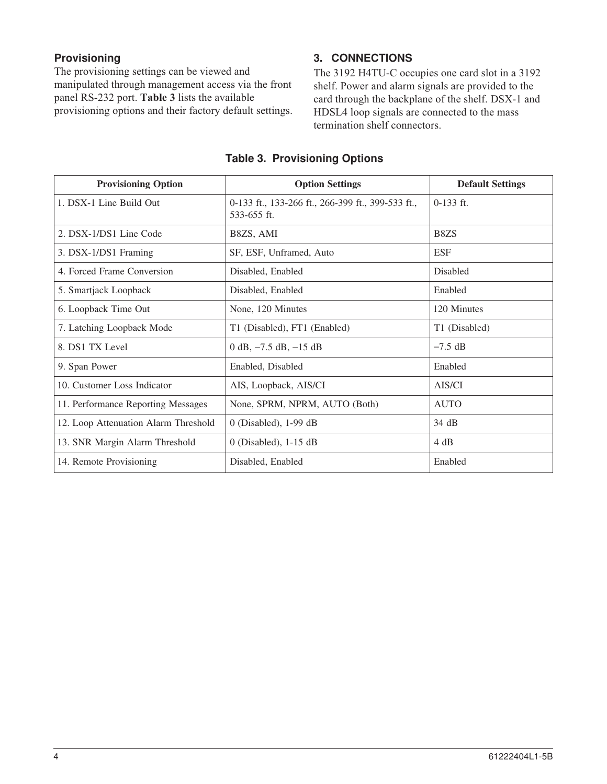### **Provisioning**

The provisioning settings can be viewed and manipulated through management access via the front panel RS-232 port. **Table 3** lists the available provisioning options and their factory default settings.

### **3. CONNECTIONS**

The 3192 H4TU-C occupies one card slot in a 3192 shelf. Power and alarm signals are provided to the card through the backplane of the shelf. DSX-1 and HDSL4 loop signals are connected to the mass termination shelf connectors.

| <b>Provisioning Option</b>           | <b>Option Settings</b>                                               | <b>Default Settings</b> |
|--------------------------------------|----------------------------------------------------------------------|-------------------------|
| 1. DSX-1 Line Build Out              | 0-133 ft., 133-266 ft., 266-399 ft., 399-533 ft.,<br>$533 - 655$ ft. | $0-133$ ft.             |
| 2. DSX-1/DS1 Line Code               | B8ZS, AMI                                                            | B8ZS                    |
| 3. DSX-1/DS1 Framing                 | SF, ESF, Unframed, Auto                                              | <b>ESF</b>              |
| 4. Forced Frame Conversion           | Disabled, Enabled                                                    | <b>Disabled</b>         |
| 5. Smartjack Loopback                | Disabled, Enabled                                                    | Enabled                 |
| 6. Loopback Time Out                 | None, 120 Minutes                                                    | 120 Minutes             |
| 7. Latching Loopback Mode            | T1 (Disabled), FT1 (Enabled)                                         | T1 (Disabled)           |
| 8. DS1 TX Level                      | 0 dB, $-7.5$ dB, $-15$ dB                                            | $-7.5$ dB               |
| 9. Span Power                        | Enabled, Disabled                                                    | Enabled                 |
| 10. Customer Loss Indicator          | AIS, Loopback, AIS/CI                                                | AIS/CI                  |
| 11. Performance Reporting Messages   | None, SPRM, NPRM, AUTO (Both)                                        | <b>AUTO</b>             |
| 12. Loop Attenuation Alarm Threshold | $0$ (Disabled), 1-99 dB                                              | 34 dB                   |
| 13. SNR Margin Alarm Threshold       | $0$ (Disabled), 1-15 dB                                              | 4 dB                    |
| 14. Remote Provisioning              | Disabled, Enabled                                                    | Enabled                 |

### **Table 3. Provisioning Options**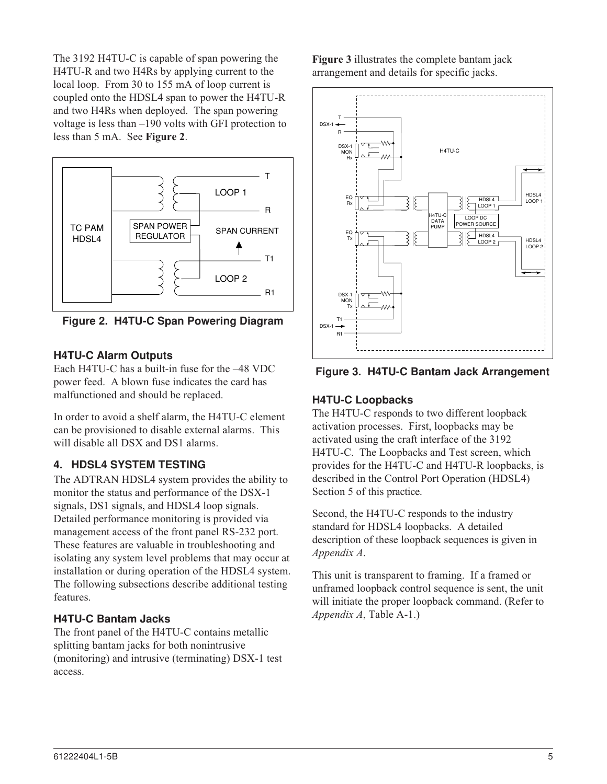The 3192 H4TU-C is capable of span powering the H4TU-R and two H4Rs by applying current to the local loop. From 30 to 155 mA of loop current is coupled onto the HDSL4 span to power the H4TU-R and two H4Rs when deployed. The span powering voltage is less than –190 volts with GFI protection to less than 5 mA. See **Figure 2**.



**Figure 2. H4TU-C Span Powering Diagram**

### **H4TU-C Alarm Outputs**

Each H4TU-C has a built-in fuse for the –48 VDC power feed. A blown fuse indicates the card has malfunctioned and should be replaced.

In order to avoid a shelf alarm, the H4TU-C element can be provisioned to disable external alarms. This will disable all DSX and DS1 alarms.

### **4. HDSL4 SYSTEM TESTING**

The ADTRAN HDSL4 system provides the ability to monitor the status and performance of the DSX-1 signals, DS1 signals, and HDSL4 loop signals. Detailed performance monitoring is provided via management access of the front panel RS-232 port. These features are valuable in troubleshooting and isolating any system level problems that may occur at installation or during operation of the HDSL4 system. The following subsections describe additional testing features.

### **H4TU-C Bantam Jacks**

The front panel of the H4TU-C contains metallic splitting bantam jacks for both nonintrusive (monitoring) and intrusive (terminating) DSX-1 test access.

**Figure 3** illustrates the complete bantam jack arrangement and details for specific jacks.



**Figure 3. H4TU-C Bantam Jack Arrangement**

### **H4TU-C Loopbacks**

The H4TU-C responds to two different loopback activation processes. First, loopbacks may be activated using the craft interface of the 3192 H4TU-C. The Loopbacks and Test screen, which provides for the H4TU-C and H4TU-R loopbacks, is described in the Control Port Operation (HDSL4) Section 5 of this practice.

Second, the H4TU-C responds to the industry standard for HDSL4 loopbacks. A detailed description of these loopback sequences is given in *Appendix A*.

This unit is transparent to framing. If a framed or unframed loopback control sequence is sent, the unit will initiate the proper loopback command. (Refer to *Appendix A*, Table A-1.)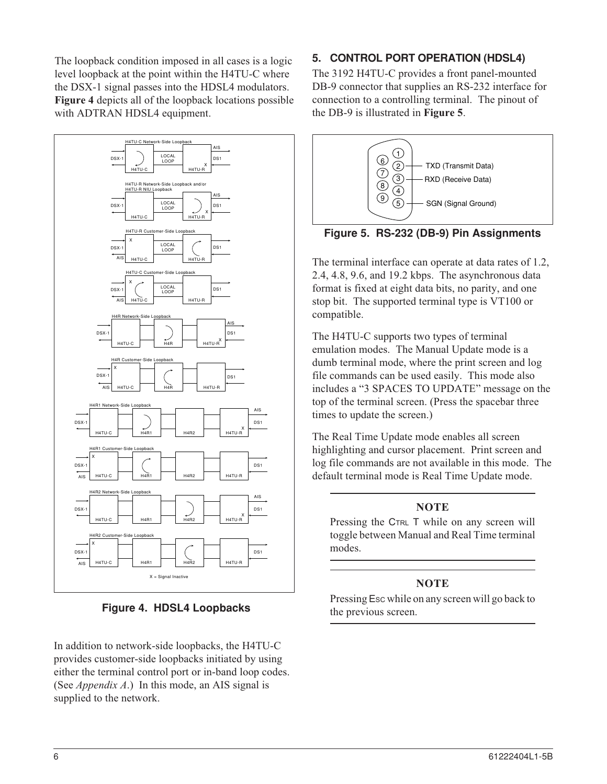The loopback condition imposed in all cases is a logic level loopback at the point within the H4TU-C where the DSX-1 signal passes into the HDSL4 modulators. **Figure 4** depicts all of the loopback locations possible with ADTRAN HDSL4 equipment.



**Figure 4. HDSL4 Loopbacks**

In addition to network-side loopbacks, the H4TU-C provides customer-side loopbacks initiated by using either the terminal control port or in-band loop codes. (See *Appendix A*.) In this mode, an AIS signal is supplied to the network.

## **5. CONTROL PORT OPERATION (HDSL4)**

The 3192 H4TU-C provides a front panel-mounted DB-9 connector that supplies an RS-232 interface for connection to a controlling terminal. The pinout of the DB-9 is illustrated in **Figure 5**.



**Figure 5. RS-232 (DB-9) Pin Assignments**

The terminal interface can operate at data rates of 1.2, 2.4, 4.8, 9.6, and 19.2 kbps. The asynchronous data format is fixed at eight data bits, no parity, and one stop bit. The supported terminal type is VT100 or compatible.

The H4TU-C supports two types of terminal emulation modes. The Manual Update mode is a dumb terminal mode, where the print screen and log file commands can be used easily. This mode also includes a "3 SPACES TO UPDATE" message on the top of the terminal screen. (Press the spacebar three times to update the screen.)

The Real Time Update mode enables all screen highlighting and cursor placement. Print screen and log file commands are not available in this mode. The default terminal mode is Real Time Update mode.

### **NOTE**

Pressing the CTRL T while on any screen will toggle between Manual and Real Time terminal modes.

### **NOTE**

Pressing ESC while on any screen will go back to the previous screen.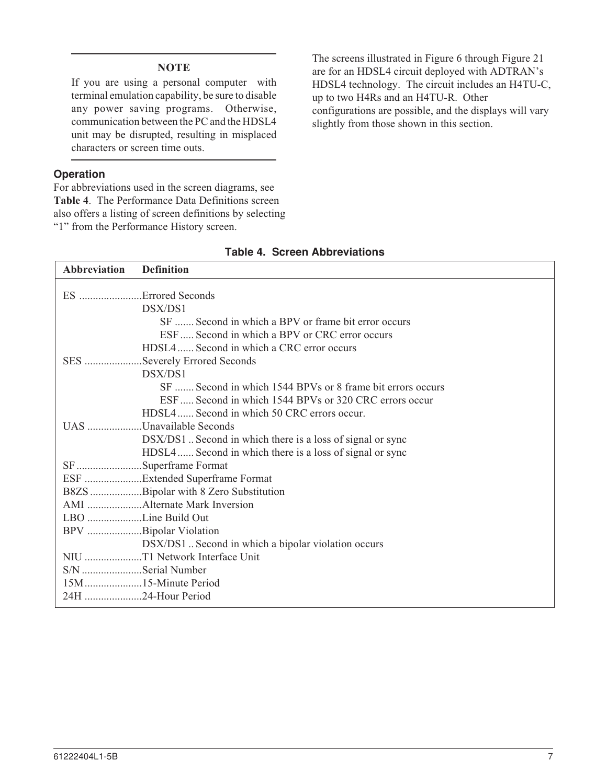#### **NOTE**

If you are using a personal computer with terminal emulation capability, be sure to disable any power saving programs. Otherwise, communication between the PC and the HDSL4 unit may be disrupted, resulting in misplaced characters or screen time outs.

### **Operation**

For abbreviations used in the screen diagrams, see **Table 4**. The Performance Data Definitions screen also offers a listing of screen definitions by selecting "1" from the Performance History screen.

The screens illustrated in Figure 6 through Figure 21 are for an HDSL4 circuit deployed with ADTRAN's HDSL4 technology. The circuit includes an H4TU-C, up to two H4Rs and an H4TU-R. Other configurations are possible, and the displays will vary slightly from those shown in this section.

#### **Table 4. Screen Abbreviations**

| <b>Abbreviation</b> | <b>Definition</b>                                          |
|---------------------|------------------------------------------------------------|
|                     | ES Errored Seconds                                         |
|                     | DSX/DS1                                                    |
|                     | SF  Second in which a BPV or frame bit error occurs        |
|                     | ESF Second in which a BPV or CRC error occurs              |
|                     |                                                            |
|                     | HDSL4 Second in which a CRC error occurs                   |
|                     | SES Severely Errored Seconds                               |
|                     | DSX/DS1                                                    |
|                     | SF  Second in which 1544 BPVs or 8 frame bit errors occurs |
|                     | ESF Second in which 1544 BPVs or 320 CRC errors occur      |
|                     | HDSL4 Second in which 50 CRC errors occur.                 |
|                     | UAS Unavailable Seconds                                    |
|                     | DSX/DS1. Second in which there is a loss of signal or sync |
|                     | HDSL4 Second in which there is a loss of signal or sync    |
|                     | SF Superframe Format                                       |
|                     | ESF Extended Superframe Format                             |
|                     | B8ZS Bipolar with 8 Zero Substitution                      |
|                     |                                                            |
|                     | LBO Line Build Out                                         |
|                     | BPV Bipolar Violation                                      |
|                     | DSX/DS1  Second in which a bipolar violation occurs        |
|                     | NIU T1 Network Interface Unit                              |
|                     | S/N Serial Number                                          |
|                     | 15M 15-Minute Period                                       |
|                     | 24H 24-Hour Period                                         |
|                     |                                                            |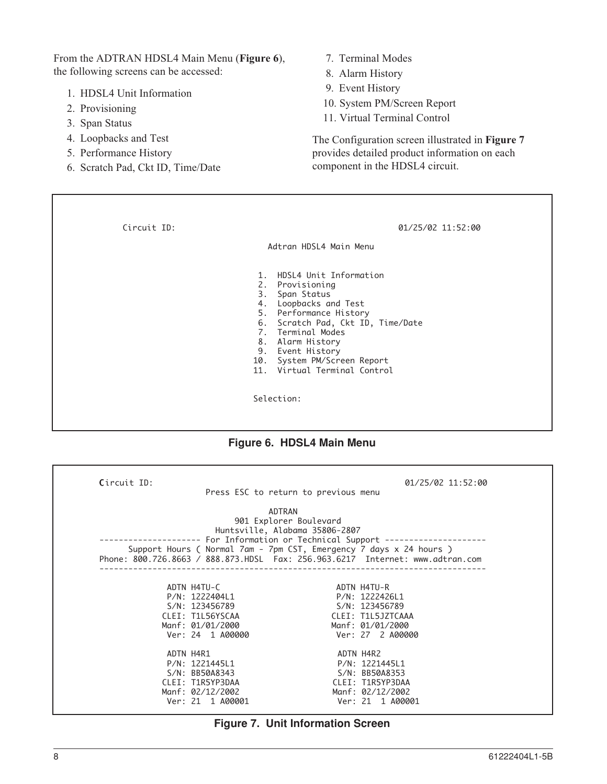From the ADTRAN HDSL4 Main Menu (**Figure 6**), the following screens can be accessed:

- 1. HDSL4 Unit Information
- 2. Provisioning
- 3. Span Status
- 4. Loopbacks and Test
- 5. Performance History
- 6. Scratch Pad, Ckt ID, Time/Date
- 7. Terminal Modes
- 8. Alarm History
- 9. Event History
- 10. System PM/Screen Report
- 11. Virtual Terminal Control

The Configuration screen illustrated in **Figure 7** provides detailed product information on each component in the HDSL4 circuit.

| Circuit ID: | 01/25/02 11:52:00<br>Adtran HDSL4 Main Menu                                                                                                                                                                                                                                                         |
|-------------|-----------------------------------------------------------------------------------------------------------------------------------------------------------------------------------------------------------------------------------------------------------------------------------------------------|
|             | 1. HDSL4 Unit Information<br>2. Provisioning<br>3. Span Status<br>4. Loopbacks and Test<br>5. Performance History<br>6. Scratch Pad, Ckt ID, Time/Date<br>7. Terminal Modes<br>8. Alarm History<br>9.<br>Event History<br>10. System PM/Screen Report<br>11. Virtual Terminal Control<br>Selection: |

### **Figure 6. HDSL4 Main Menu**

| Circuit ID: |                  | Press ESC to return to previous menu | $01/25/02$ 11:52:00                                                           |  |
|-------------|------------------|--------------------------------------|-------------------------------------------------------------------------------|--|
|             |                  | <b>ADTRAN</b>                        |                                                                               |  |
|             |                  | 901 Explorer Boulevard               |                                                                               |  |
|             |                  | Huntsville, Alabama 35806-2807       |                                                                               |  |
|             |                  |                                      |                                                                               |  |
|             |                  |                                      | Support Hours ( Normal 7am - 7pm CST, Emergency 7 days x 24 hours )           |  |
|             |                  |                                      | Phone: 800.726.8663 / 888.873.HDSL Fax: 256.963.6217 Internet: www.adtran.com |  |
|             |                  |                                      |                                                                               |  |
|             | ADTN H4TU-C      |                                      | ADTN H4TU-R                                                                   |  |
|             | P/N: 1222404L1   |                                      | P/N: 122242611                                                                |  |
|             | S/N: 123456789   |                                      | S/N: 123456789                                                                |  |
|             | CLEI: T1L56YSCAA |                                      | CLEI: T1L5JZTCAAA                                                             |  |
|             | Manf: 01/01/2000 |                                      | Manf: 01/01/2000                                                              |  |
|             | Ver: 24 1 A00000 |                                      | Ver: 27 2 A00000                                                              |  |
|             | ADTN H4R1        |                                      | ADTN H4R2                                                                     |  |
|             | P/N: 1221445L1   |                                      | P/N: 1221445L1                                                                |  |
|             | S/N: BB50A8343   |                                      | S/N: BB50A8353                                                                |  |
|             | CLEI: T1R5YP3DAA |                                      | CLEI: T1R5YP3DAA                                                              |  |
|             | Manf: 02/12/2002 |                                      | Manf: 02/12/2002                                                              |  |
|             |                  |                                      |                                                                               |  |

### **Figure 7. Unit Information Screen**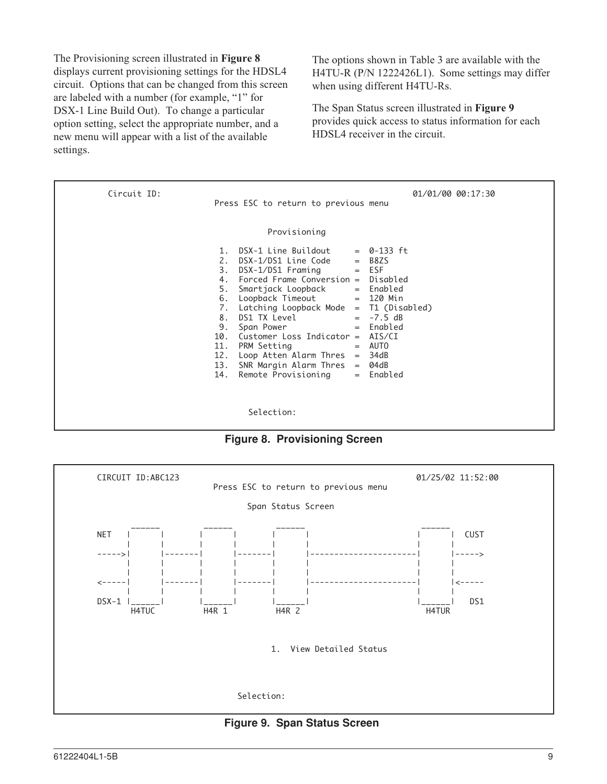The Provisioning screen illustrated in **Figure 8** displays current provisioning settings for the HDSL4 circuit. Options that can be changed from this screen are labeled with a number (for example, "1" for DSX-1 Line Build Out). To change a particular option setting, select the appropriate number, and a new menu will appear with a list of the available settings.

The options shown in Table 3 are available with the H4TU-R (P/N 1222426L1). Some settings may differ when using different H4TU-Rs.

The Span Status screen illustrated in **Figure 9** provides quick access to status information for each HDSL4 receiver in the circuit.

| Circuit ID:                              | 01/01/00 00:17:30<br>Press ESC to return to previous menu                                                                                                                                                                                                                              |
|------------------------------------------|----------------------------------------------------------------------------------------------------------------------------------------------------------------------------------------------------------------------------------------------------------------------------------------|
| 1 <sub>1</sub><br>2.<br>3.               | Provisioning<br>$DSX-1$ Line Buildout $= 0-133$ ft<br>$DSX-1/DS1$ Line Code = B8ZS<br>$DSX-1/DS1$ Framing = $ESF$<br>4. Forced Frame Conversion = Disabled                                                                                                                             |
| 5.<br>6.<br>7.<br>8.<br>9.<br>10.<br>12. | Smartjack Loopback = Enabled<br>Loopback Timeout = 120 Min<br>Latching Loopback Mode = $T1$ (Disabled)<br>DS1 TX Level<br>$= -7.5 dB$<br>Span Power <b>Span</b><br>$=$ Enabled<br>Customer Loss Indicator = $AIS/CI$<br>11. PRM Setting<br>$=$ AUTO<br>Loop Atten Alarm Thres $=$ 34dB |
| 13.<br>14.                               | SNR Margin Alarm Thres $= 04dB$<br>Remote Provisioning $=$ Enabled<br>Selection:                                                                                                                                                                                                       |

**Figure 8. Provisioning Screen**



**Figure 9. Span Status Screen**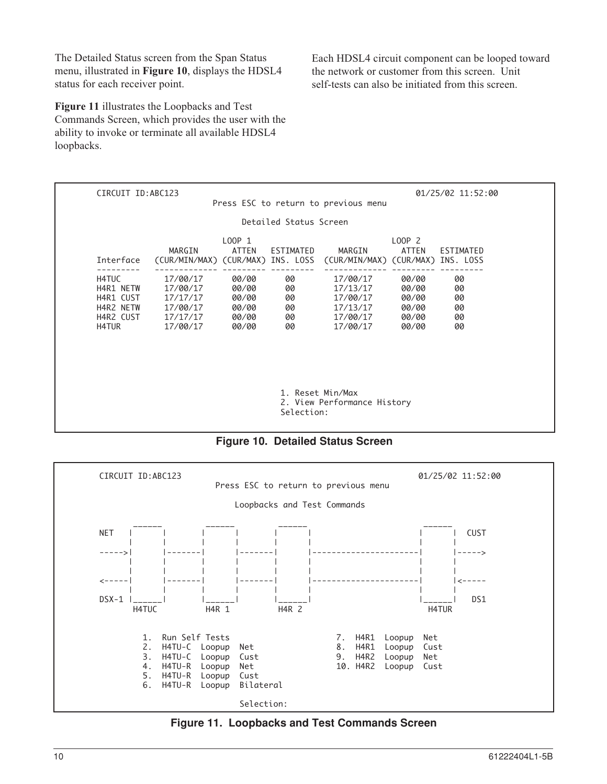The Detailed Status screen from the Span Status menu, illustrated in **Figure 10**, displays the HDSL4 status for each receiver point.

Each HDSL4 circuit component can be looped toward the network or customer from this screen. Unit self-tests can also be initiated from this screen.

**Figure 11** illustrates the Loopbacks and Test Commands Screen, which provides the user with the ability to invoke or terminate all available HDSL4 loopbacks.

| CIRCUIT ID:ABC123                                                         |                                                                      |                                                    | Press ESC to return to previous menu |                                                                      | 01/25/02 11:52:00                                  |                                  |
|---------------------------------------------------------------------------|----------------------------------------------------------------------|----------------------------------------------------|--------------------------------------|----------------------------------------------------------------------|----------------------------------------------------|----------------------------------|
|                                                                           |                                                                      |                                                    | Detailed Status Screen               |                                                                      |                                                    |                                  |
| Interface                                                                 | MARGIN<br>(CUR/MIN/MAX) (CUR/MAX) INS. LOSS                          | LOOP <sub>1</sub><br>ATTEN                         | ESTIMATED                            | MARGIN<br>(CUR/MIN/MAX) (CUR/MAX) INS. LOSS                          | LOOP <sub>2</sub><br><b>ATTEN</b>                  | ESTIMATED                        |
| H4TUC<br>H4R1 NETW<br>H4R1 CUST<br>H4R2 NETW<br>H4R2 CUST<br><b>H4TUR</b> | 17/00/17<br>17/00/17<br>17/17/17<br>17/00/17<br>17/17/17<br>17/00/17 | 00/00<br>00/00<br>00/00<br>00/00<br>00/00<br>00/00 | 00<br>00<br>00<br>00<br>00<br>00     | 17/00/17<br>17/13/17<br>17/00/17<br>17/13/17<br>17/00/17<br>17/00/17 | 00/00<br>00/00<br>00/00<br>00/00<br>00/00<br>00/00 | 00<br>00<br>00<br>00<br>00<br>00 |
|                                                                           |                                                                      |                                                    | Selection:                           | 1. Reset Min/Max<br>2. View Performance History                      |                                                    |                                  |





**Figure 11. Loopbacks and Test Commands Screen**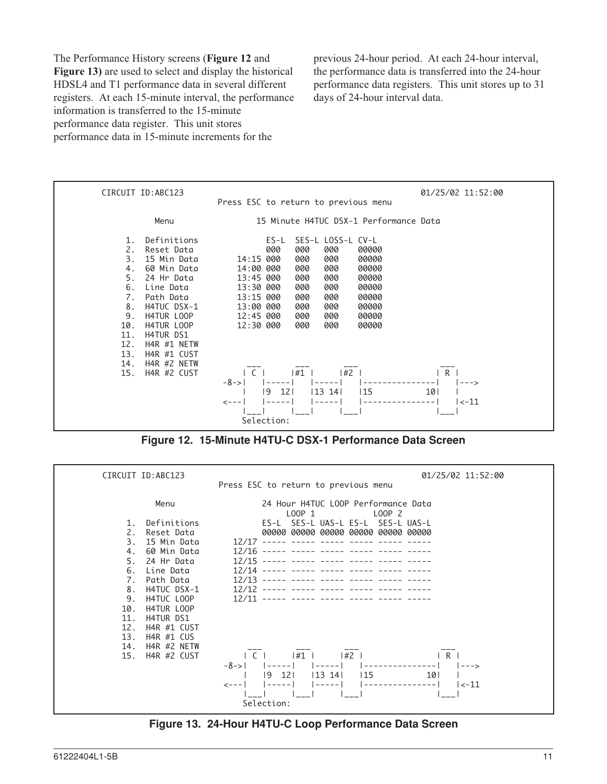The Performance History screens (**Figure 12** and **Figure 13)** are used to select and display the historical HDSL4 and T1 performance data in several different registers. At each 15-minute interval, the performance information is transferred to the 15-minute performance data register. This unit stores performance data in 15-minute increments for the

previous 24-hour period. At each 24-hour interval, the performance data is transferred into the 24-hour performance data registers. This unit stores up to 31 days of 24-hour interval data.



**Figure 12. 15-Minute H4TU-C DSX-1 Performance Data Screen**

| CIRCUIT ID:ABC123                                                                                                                                                                                                                                                                     | 01/25/02 11:52:00<br>Press ESC to return to previous menu                                                                                                                                                                                                                                                                                                                                                                                                                                                                                                                                                                                                                                                                                                                                                                                                                                                                                                                           |
|---------------------------------------------------------------------------------------------------------------------------------------------------------------------------------------------------------------------------------------------------------------------------------------|-------------------------------------------------------------------------------------------------------------------------------------------------------------------------------------------------------------------------------------------------------------------------------------------------------------------------------------------------------------------------------------------------------------------------------------------------------------------------------------------------------------------------------------------------------------------------------------------------------------------------------------------------------------------------------------------------------------------------------------------------------------------------------------------------------------------------------------------------------------------------------------------------------------------------------------------------------------------------------------|
| Menu                                                                                                                                                                                                                                                                                  | 24 Hour H4TUC LOOP Performance Data<br>LOOP <sub>1</sub><br>LOOP <sub>2</sub>                                                                                                                                                                                                                                                                                                                                                                                                                                                                                                                                                                                                                                                                                                                                                                                                                                                                                                       |
| 1. Definitions<br>2. Reset Data<br>3. 15 Min Data<br>4.   60  Min  Data<br>5. 24 Hr Data<br>6. Line Data<br>7. Path Data<br>8.<br>H4TUC DSX-1<br>9. H4TUC LOOP<br>H4TUR LOOP<br>10.<br>H4TUR DS1<br>11.<br>12. H4R #1 CUST<br>13. H4R #1 CUS<br>14. H4R #2 NETW<br>H4R #2 CUST<br>15. | ES-L SES-L UAS-L ES-L SES-L UAS-L<br>00000 00000 00000 00000 00000 00000<br>12/17 ----- ----- -----<br>$12/16$ ----- ----- ----- ----- ----- -----<br>12/15 ----- ----- ----- ----- ----- -----<br>12/14 ----- ----- ----- ----- ----- -----<br>12/13 ----- ----- ----- ----- ----- -----<br>12/12 ----- ----- ----- ----- ----- -----<br>12/11 ----- ----- ----- ----- ----- -----<br> C <br>$\sharp 1$ $\sharp 2$ $\sharp 2$<br> R <br>$-8$ ->   -----   -----   -------------- <br>  9 12   13 14   15<br>10 I<br>$\leftarrow -$   $\leftarrow$   $\leftarrow$   $\leftarrow$   $\leftarrow$   $\leftarrow$   $\leftarrow$   $\leftarrow$   $\leftarrow$   $\leftarrow$   $\leftarrow$   $\leftarrow$   $\leftarrow$   $\leftarrow$   $\leftarrow$   $\leftarrow$   $\leftarrow$   $\leftarrow$   $\leftarrow$   $\leftarrow$   $\leftarrow$   $\leftarrow$   $\leftarrow$   $\leftarrow$   $\leftarrow$   $\leftarrow$   $\leftarrow$   $\leftarrow$<br>$1 < -11$<br>Selection: |

**Figure 13. 24-Hour H4TU-C Loop Performance Data Screen**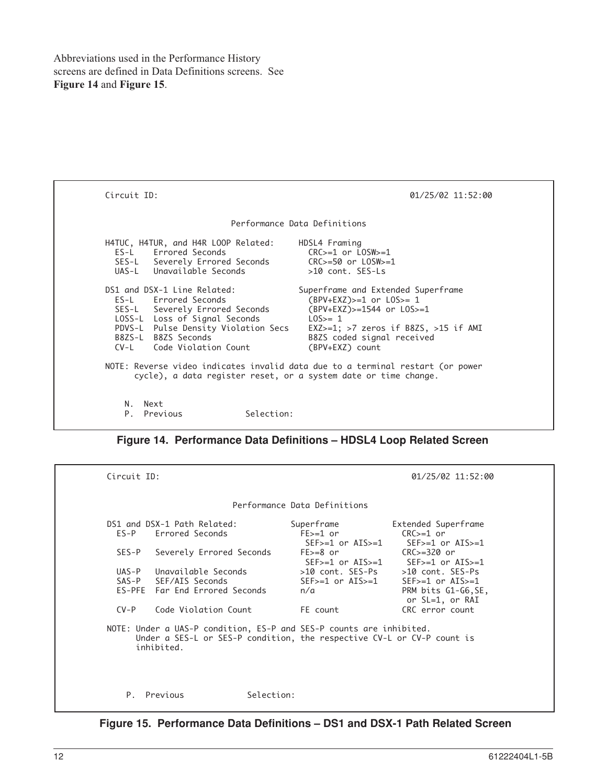Abbreviations used in the Performance History screens are defined in Data Definitions screens. See **Figure 14** and **Figure 15**.

| Circuit ID: |                                                                                                                                                                                                                   | 01/25/02 11:52:00                                                                                                                                                                                                          |
|-------------|-------------------------------------------------------------------------------------------------------------------------------------------------------------------------------------------------------------------|----------------------------------------------------------------------------------------------------------------------------------------------------------------------------------------------------------------------------|
|             |                                                                                                                                                                                                                   | Performance Data Definitions                                                                                                                                                                                               |
| $ES-L$      | H4TUC, H4TUR, and H4R LOOP Related:<br>Errored Seconds<br>UAS-L Unavailable Seconds                                                                                                                               | HDSL4 Framing<br>$CRC>=1$ or $LOSW>=1$<br>SES-L Severely Errored Seconds CRC>=50 or LOSW>=1<br>>10 cont. SES-Ls                                                                                                            |
|             | DS1 and DSX-1 Line Related:<br>ES-L Errored Seconds<br>SES-L Severely Errored Seconds<br>LOSS-L Loss of Signal Seconds<br>PDVS-L Pulse Density Violation Secs<br>B8ZS-L B8ZS Seconds<br>CV-L Code Violation Count | Superframe and Extended Superframe<br>$(BPV+EXZ) >= 1$ or $LOS >= 1$<br>$(BPV+EXZ)$ >=1544 or $LOS$ >=1<br>$LOS \geq 1$<br>$EXZ \ge 1$ ; $>7$ zeros if B8ZS, $>15$ if AMI<br>B8ZS coded signal received<br>(BPV+EXZ) count |
|             |                                                                                                                                                                                                                   | NOTE: Reverse video indicates invalid data due to a terminal restart (or power<br>cycle), a data register reset, or a system date or time change.                                                                          |
| N. Next     | P. Previous                                                                                                                                                                                                       | Selection:                                                                                                                                                                                                                 |

# **Figure 14. Performance Data Definitions – HDSL4 Loop Related Screen**

| Circuit ID:                         |                                                                                                                                                                                                                 |                                                               | $01/25/02$ 11:52:00                                                                                                                                                                                                       |
|-------------------------------------|-----------------------------------------------------------------------------------------------------------------------------------------------------------------------------------------------------------------|---------------------------------------------------------------|---------------------------------------------------------------------------------------------------------------------------------------------------------------------------------------------------------------------------|
|                                     |                                                                                                                                                                                                                 | Performance Data Definitions                                  |                                                                                                                                                                                                                           |
|                                     | DS1 and DSX-1 Path Related:<br>ES-P Errored Seconds<br>SES-P Severely Errored Seconds<br>UAS-P Unavailable Seconds >10 cont. SES-Ps >10 cont. SES-Ps<br>SAS-P SEF/AIS Seconds<br>ES-PFE Far End Errored Seconds | $FE \geq = 1$ or<br>$FE \ge -8$ or<br>SEF>=1 or AIS>=1<br>n/a | Superframe Extended Superframe<br>$CRC>=1$ or<br>$SEF>=1$ or $AIS>=1$ $SEF>=1$ or $AIS>=1$<br>CRC>=320 or<br>$SEF>=1$ or $AIS>=1$ SEF $>=1$ or $AIS>=1$<br>$SEF>=1$ or $AIS>=1$<br>PRM bits G1-G6, SE,<br>or SL=1, or RAI |
| $CV-P$<br>inhibited.<br>P. Previous | Code Violation Count<br>NOTE: Under a UAS-P condition, ES-P and SES-P counts are inhibited.<br>Under a SES-L or SES-P condition, the respective CV-L or CV-P count is<br>Selection:                             | FE count                                                      | CRC error count                                                                                                                                                                                                           |

**Figure 15. Performance Data Definitions – DS1 and DSX-1 Path Related Screen**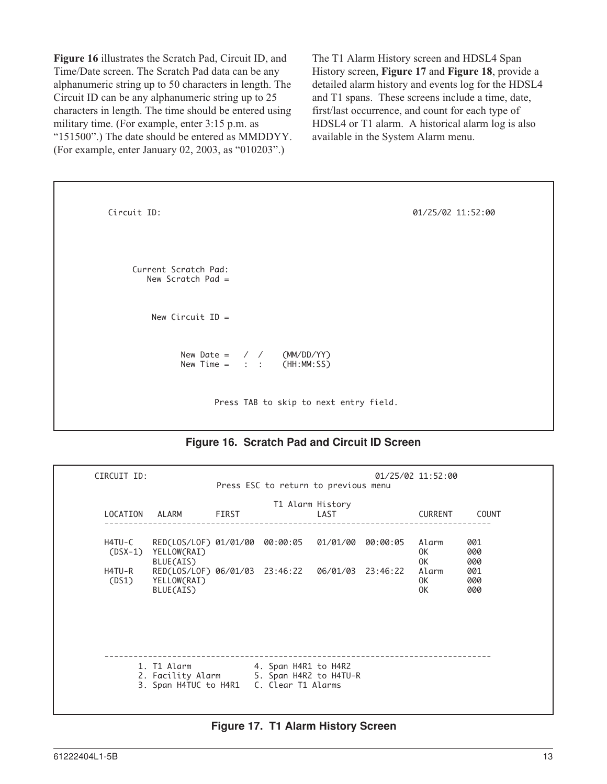**Figure 16** illustrates the Scratch Pad, Circuit ID, and Time/Date screen. The Scratch Pad data can be any alphanumeric string up to 50 characters in length. The Circuit ID can be any alphanumeric string up to 25 characters in length. The time should be entered using military time. (For example, enter 3:15 p.m. as "151500".) The date should be entered as MMDDYY. (For example, enter January 02, 2003, as "010203".)

The T1 Alarm History screen and HDSL4 Span History screen, **Figure 17** and **Figure 18**, provide a detailed alarm history and events log for the HDSL4 and T1 spans. These screens include a time, date, first/last occurrence, and count for each type of HDSL4 or T1 alarm. A historical alarm log is also available in the System Alarm menu.

Current Scratch Pad:

New Scratch Pad =

New Circuit  $ID =$ 

New Date = / / (MM/DD/YY)<br>New Time = : : (HH:MM:SS)  $(HH:MM:SS)$ 

Press TAB to skip to next entry field.

Circuit ID: 01/25/02 11:52:00

#### **Figure 16. Scratch Pad and Circuit ID Screen**

| CIRCUIT ID:                            |                                                                                                                                                              |       | Press ESC to return to previous menu       |      | 01/25/02 11:52:00                      |                                        |
|----------------------------------------|--------------------------------------------------------------------------------------------------------------------------------------------------------------|-------|--------------------------------------------|------|----------------------------------------|----------------------------------------|
| LOCATION ALARM                         |                                                                                                                                                              | FIRST | T1 Alarm History                           | LAST | <b>CURRENT</b>                         | <b>COUNT</b>                           |
| H4TU-C<br>$(DSX-1)$<br>H4TU-R<br>(DS1) | RED(LOS/LOF) 01/01/00 00:00:05 01/01/00 00:00:05<br>YELLOW(RAI)<br>BLUE(AIS)<br>RED(LOS/LOF) 06/01/03 23:46:22 06/01/03 23:46:22<br>YELLOW(RAI)<br>BLUE(AIS) |       |                                            |      | Alarm<br>0K<br>0K<br>Alarm<br>0K<br>0K | 001<br>000<br>000<br>001<br>000<br>000 |
|                                        | 1. T1 Alarm<br>2. Facility Alarm 5. Span H4R2 to H4TU-R<br>3. Span H4TUC to H4R1                                                                             |       | 4. Span H4R1 to H4R2<br>C. Clear T1 Alarms |      |                                        |                                        |

#### **Figure 17. T1 Alarm History Screen**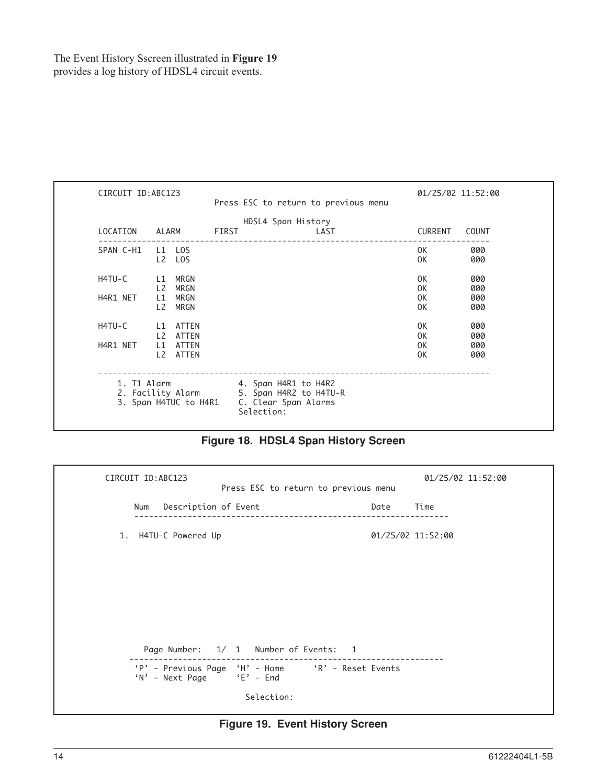The Event History Sscreen illustrated in **Figure 19** provides a log history of HDSL4 circuit events.

| LOCATION ALARM   |                      | FIRST | HDSL4 Span History<br>LAST                                       | CURRENT    | <b>COUNT</b> |
|------------------|----------------------|-------|------------------------------------------------------------------|------------|--------------|
| SPAN C-H1 L1 LOS | L2 LOS               |       |                                                                  | OK L<br>0K | 000<br>000   |
| H4TU-C           | L1 MRGN<br>L2 MRGN   |       |                                                                  | 0K<br>0K   | 000<br>000   |
| H4R1 NET         | L1 MRGN<br>L2 MRGN   |       |                                                                  | 0K<br>0K   | 000<br>000   |
| H4TU-C           | L1 ATTEN<br>L2 ATTEN |       |                                                                  | 0K<br>0K   | 000<br>000   |
| H4R1 NET         | L1 ATTEN<br>L2 ATTEN |       |                                                                  | 0K<br>0K   | 000<br>000   |
| 1. T1 Alarm      |                      |       | 4. Span H4R1 to H4R2<br>2. Facility Alarm 5. Span H4R2 to H4TU-R |            |              |

## **Figure 18. HDSL4 Span History Screen**

|  | CIRCUIT ID:ABC123                                                              | Press ESC to return to previous menu |  |      |                   | 01/25/02 11:52:00 |
|--|--------------------------------------------------------------------------------|--------------------------------------|--|------|-------------------|-------------------|
|  | Num Description of Event                                                       |                                      |  | Date | Time              |                   |
|  | 1. H4TU-C Powered Up                                                           |                                      |  |      | 01/25/02 11:52:00 |                   |
|  |                                                                                |                                      |  |      |                   |                   |
|  |                                                                                |                                      |  |      |                   |                   |
|  |                                                                                |                                      |  |      |                   |                   |
|  | Page Number: 1/ 1 Number of Events: 1                                          |                                      |  |      |                   |                   |
|  | 'P' - Previous Page 'H' - Home 'R' - Reset Events<br>'N' - Next Page 'E' - End |                                      |  |      |                   |                   |
|  |                                                                                | Selection:                           |  |      |                   |                   |

## **Figure 19. Event History Screen**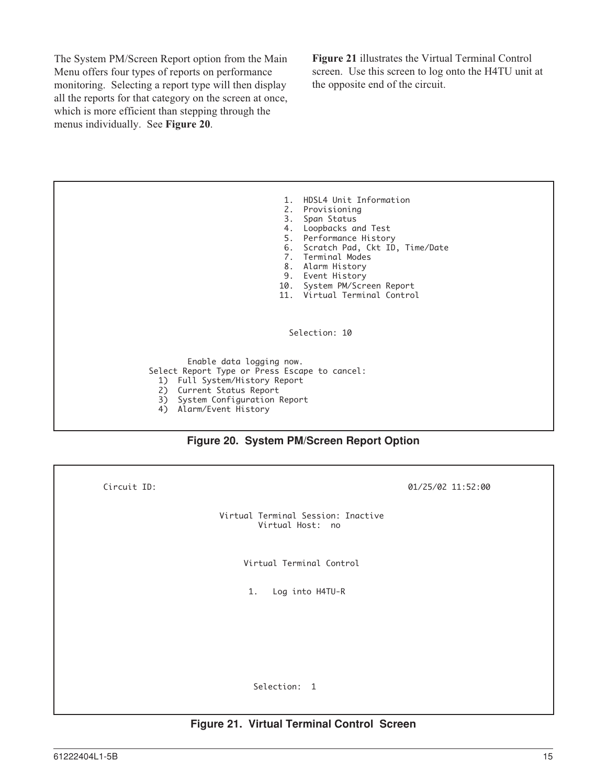The System PM/Screen Report option from the Main Menu offers four types of reports on performance monitoring. Selecting a report type will then display all the reports for that category on the screen at once, which is more efficient than stepping through the menus individually. See **Figure 20**.

**Figure 21** illustrates the Virtual Terminal Control screen. Use this screen to log onto the H4TU unit at the opposite end of the circuit.



- 2. Provisioning
- 3. Span Status
- 4. Loopbacks and Test
	- 5. Performance History
	- 6. Scratch Pad, Ckt ID, Time/Date
- 7. Terminal Modes
- 8. Alarm History
- 9. Event History
	- 10. System PM/Screen Report
	- 11. Virtual Terminal Control

Selection: 10

 Enable data logging now. Select Report Type or Press Escape to cancel: 1) Full System/History Report 2) Current Status Report 3) System Configuration Report 4) Alarm/Event History



| Circuit ID: | 01/25/02 11:52:00                                      |
|-------------|--------------------------------------------------------|
|             | Virtual Terminal Session: Inactive<br>Virtual Host: no |
|             | Virtual Terminal Control                               |
|             | 1. Log into H4TU-R                                     |
|             |                                                        |
|             |                                                        |
|             | Selection: 1                                           |

**Figure 21. Virtual Terminal Control Screen**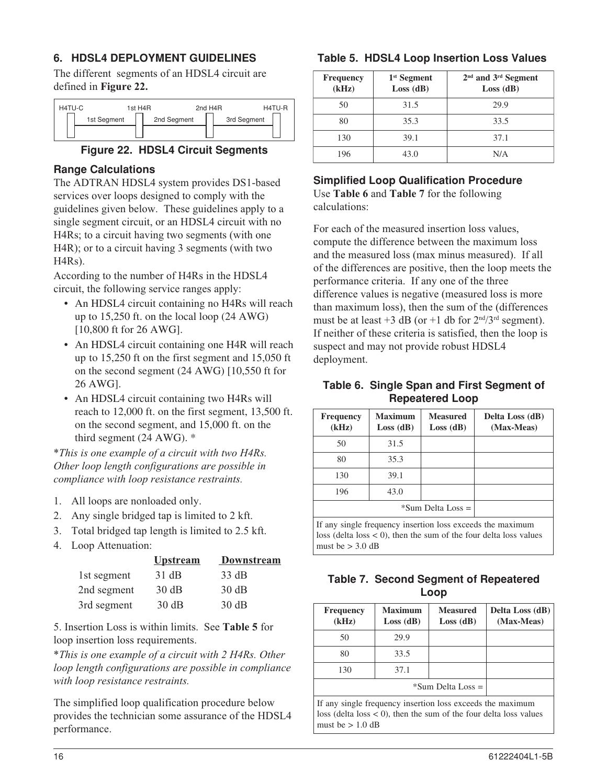## **6. HDSL4 DEPLOYMENT GUIDELINES**

The different segments of an HDSL4 circuit are defined in **Figure 22.**

| H4TU-C |             | 1st H4R |             | 2nd H4R |             | H4TU-R |
|--------|-------------|---------|-------------|---------|-------------|--------|
|        | 1st Segment |         | 2nd Segment |         | 3rd Segment |        |
|        |             |         |             |         |             |        |

#### **Figure 22. HDSL4 Circuit Segments**

### **Range Calculations**

The ADTRAN HDSL4 system provides DS1-based services over loops designed to comply with the guidelines given below. These guidelines apply to a single segment circuit, or an HDSL4 circuit with no H4Rs; to a circuit having two segments (with one H4R); or to a circuit having 3 segments (with two H4Rs).

According to the number of H4Rs in the HDSL4 circuit, the following service ranges apply:

- An HDSL4 circuit containing no H4Rs will reach up to 15,250 ft. on the local loop (24 AWG) [10,800 ft for 26 AWG].
- An HDSL4 circuit containing one H4R will reach up to 15,250 ft on the first segment and 15,050 ft on the second segment (24 AWG) [10,550 ft for 26 AWG].
- An HDSL4 circuit containing two H4Rs will reach to 12,000 ft. on the first segment, 13,500 ft. on the second segment, and 15,000 ft. on the third segment (24 AWG). \*

\**This is one example of a circuit with two H4Rs. Other loop length configurations are possible in compliance with loop resistance restraints.*

- 1. All loops are nonloaded only.
- 2. Any single bridged tap is limited to 2 kft.
- 3. Total bridged tap length is limited to 2.5 kft.
- 4. Loop Attenuation:

|             | <b>Upstream</b> | Downstream |
|-------------|-----------------|------------|
| 1st segment | 31 dB           | 33 dB      |
| 2nd segment | 30 dB           | 30 dB      |
| 3rd segment | 30 dB           | 30 dB      |

5. Insertion Loss is within limits. See **Table 5** for loop insertion loss requirements.

*\*This is one example of a circuit with 2 H4Rs. Other loop length configurations are possible in compliance with loop resistance restraints.*

The simplified loop qualification procedure below provides the technician some assurance of the HDSL4 performance.

### **Table 5. HDSL4 Loop Insertion Loss Values**

| <b>Frequency</b><br>(kHz) | $1st$ Segment<br>Loss(dB) | $2nd$ and $3rd$ Segment<br>Loss(dB) |
|---------------------------|---------------------------|-------------------------------------|
| 50                        | 31.5                      | 29.9                                |
| 80                        | 35.3                      | 33.5                                |
| 130                       | 39.1                      | 37.1                                |
| 196                       | 43.0                      | N/A                                 |

## **Simplified Loop Qualification Procedure**

Use **Table 6** and **Table 7** for the following calculations:

For each of the measured insertion loss values, compute the difference between the maximum loss and the measured loss (max minus measured). If all of the differences are positive, then the loop meets the performance criteria. If any one of the three difference values is negative (measured loss is more than maximum loss), then the sum of the (differences must be at least +3 dB (or +1 db for  $2<sup>nd</sup>/3<sup>rd</sup>$  segment). If neither of these criteria is satisfied, then the loop is suspect and may not provide robust HDSL4 deployment.

#### **Table 6. Single Span and First Segment of Repeatered Loop**

| <b>Frequency</b><br>(kHz) | <b>Maximum</b><br>Loss(dB) | <b>Measured</b><br>Loss(dB) | Delta Loss (dB)<br>(Max-Meas) |
|---------------------------|----------------------------|-----------------------------|-------------------------------|
| 50                        | 31.5                       |                             |                               |
| 80                        | 35.3                       |                             |                               |
| 130                       | 39.1                       |                             |                               |
| 196                       | 43.0                       |                             |                               |
|                           |                            |                             |                               |

If any single frequency insertion loss exceeds the maximum loss (delta  $\log(6)$ , then the sum of the four delta loss values must be  $> 3.0$  dB

### **Table 7. Second Segment of Repeatered Loop**

| <b>Frequency</b><br>(kHz) | <b>Maximum</b><br>Loss(dB) | <b>Measured</b><br>Loss(dB) | Delta Loss (dB)<br>(Max-Meas) |
|---------------------------|----------------------------|-----------------------------|-------------------------------|
| 50                        | 29.9                       |                             |                               |
| 80                        | 33.5                       |                             |                               |
| 130                       | 37.1                       |                             |                               |
|                           |                            |                             |                               |

If any single frequency insertion loss exceeds the maximum loss (delta  $\log s < 0$ ), then the sum of the four delta loss values must be  $> 1.0$  dB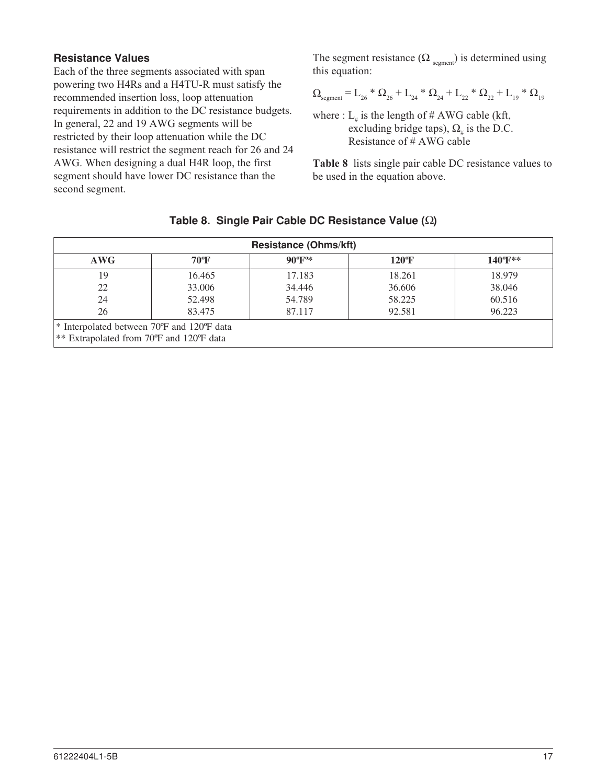#### **Resistance Values**

Each of the three segments associated with span powering two H4Rs and a H4TU-R must satisfy the recommended insertion loss, loop attenuation requirements in addition to the DC resistance budgets. In general, 22 and 19 AWG segments will be restricted by their loop attenuation while the DC resistance will restrict the segment reach for 26 and 24 AWG. When designing a dual H4R loop, the first segment should have lower DC resistance than the second segment.

The segment resistance  $(\Omega_{\text{segment}})$  is determined using this equation:

$$
\Omega_{\text{segment}} = L_{26} * \Omega_{26} + L_{24} * \Omega_{24} + L_{22} * \Omega_{22} + L_{19} * \Omega_{19}
$$

where :  $L_{\mu}$  is the length of  $\#$  AWG cable (kft, excluding bridge taps),  $\Omega_{\mu}$  is the D.C. Resistance of # AWG cable

**Table 8** lists single pair cable DC resistance values to be used in the equation above.

| <b>Resistance (Ohms/kft)</b>                                                                      |        |                              |                 |         |
|---------------------------------------------------------------------------------------------------|--------|------------------------------|-----------------|---------|
| AWG                                                                                               | 70°F   | $90^{\circ}$ F <sup>o*</sup> | $120^{\circ}$ F | 140°F** |
| 19                                                                                                | 16.465 | 17.183                       | 18.261          | 18.979  |
| 22                                                                                                | 33.006 | 34.446                       | 36.606          | 38.046  |
| 24                                                                                                | 52.498 | 54.789                       | 58.225          | 60.516  |
| 26                                                                                                | 83.475 | 87.117                       | 92.581          | 96.223  |
| <sup>*</sup> Interpolated between 70°F and 120°F data<br>** Extrapolated from 70°F and 120°F data |        |                              |                 |         |

### **Table 8. Single Pair Cable DC Resistance Value (**Ω**)**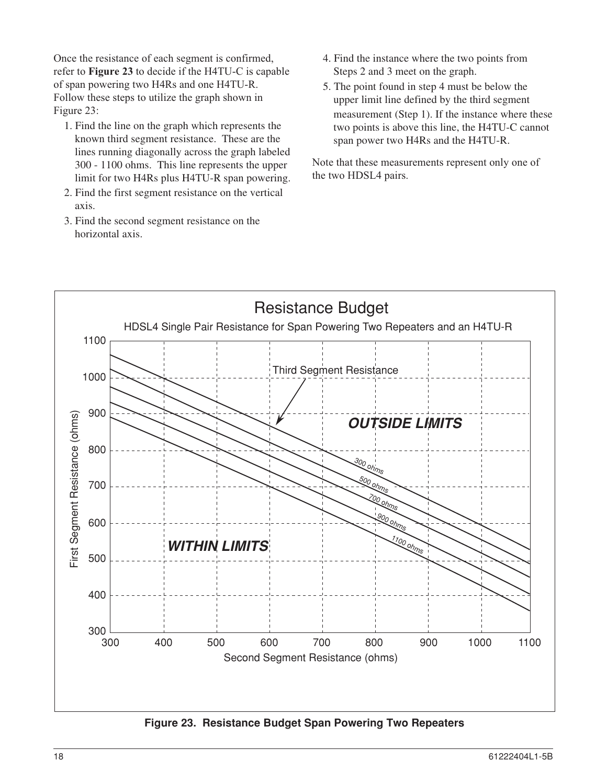Once the resistance of each segment is confirmed, refer to **Figure 23** to decide if the H4TU-C is capable of span powering two H4Rs and one H4TU-R. Follow these steps to utilize the graph shown in Figure 23:

- 1. Find the line on the graph which represents the known third segment resistance. These are the lines running diagonally across the graph labeled 300 - 1100 ohms. This line represents the upper limit for two H4Rs plus H4TU-R span powering.
- 2. Find the first segment resistance on the vertical axis.
- 3. Find the second segment resistance on the horizontal axis.
- 4. Find the instance where the two points from Steps 2 and 3 meet on the graph.
- 5. The point found in step 4 must be below the upper limit line defined by the third segment measurement (Step 1). If the instance where these two points is above this line, the H4TU-C cannot span power two H4Rs and the H4TU-R.

Note that these measurements represent only one of the two HDSL4 pairs.



**Figure 23. Resistance Budget Span Powering Two Repeaters**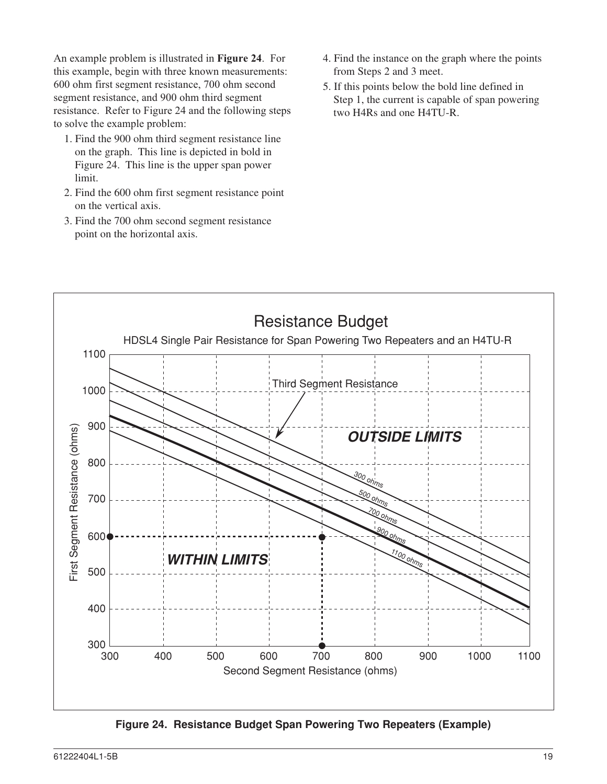An example problem is illustrated in **Figure 24**. For this example, begin with three known measurements: 600 ohm first segment resistance, 700 ohm second segment resistance, and 900 ohm third segment resistance. Refer to Figure 24 and the following steps to solve the example problem:

- 1. Find the 900 ohm third segment resistance line on the graph. This line is depicted in bold in Figure 24. This line is the upper span power limit.
- 2. Find the 600 ohm first segment resistance point on the vertical axis.
- 3. Find the 700 ohm second segment resistance point on the horizontal axis.
- 4. Find the instance on the graph where the points from Steps 2 and 3 meet.
- 5. If this points below the bold line defined in Step 1, the current is capable of span powering two H4Rs and one H4TU-R.



**Figure 24. Resistance Budget Span Powering Two Repeaters (Example)**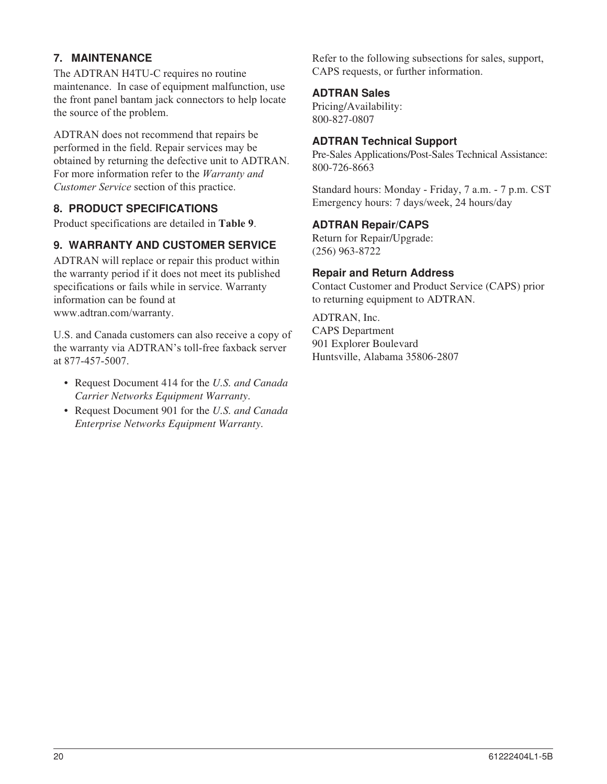### **7. MAINTENANCE**

The ADTRAN H4TU-C requires no routine maintenance. In case of equipment malfunction, use the front panel bantam jack connectors to help locate the source of the problem.

ADTRAN does not recommend that repairs be performed in the field. Repair services may be obtained by returning the defective unit to ADTRAN. For more information refer to the *Warranty and Customer Service* section of this practice.

### **8. PRODUCT SPECIFICATIONS**

Product specifications are detailed in **Table 9**.

### **9. WARRANTY AND CUSTOMER SERVICE**

ADTRAN will replace or repair this product within the warranty period if it does not meet its published specifications or fails while in service. Warranty information can be found at www.adtran.com/warranty.

U.S. and Canada customers can also receive a copy of the warranty via ADTRAN's toll-free faxback server at 877-457-5007.

- Request Document 414 for the *U.S. and Canada Carrier Networks Equipment Warranty*.
- Request Document 901 for the *U.S. and Canada Enterprise Networks Equipment Warranty*.

Refer to the following subsections for sales, support, CAPS requests, or further information.

### **ADTRAN Sales**

Pricing/Availability: 800-827-0807

### **ADTRAN Technical Support**

Pre-Sales Applications/Post-Sales Technical Assistance: 800-726-8663

Standard hours: Monday - Friday, 7 a.m. - 7 p.m. CST Emergency hours: 7 days/week, 24 hours/day

### **ADTRAN Repair/CAPS**

Return for Repair/Upgrade: (256) 963-8722

### **Repair and Return Address**

Contact Customer and Product Service (CAPS) prior to returning equipment to ADTRAN.

ADTRAN, Inc. CAPS Department 901 Explorer Boulevard Huntsville, Alabama 35806-2807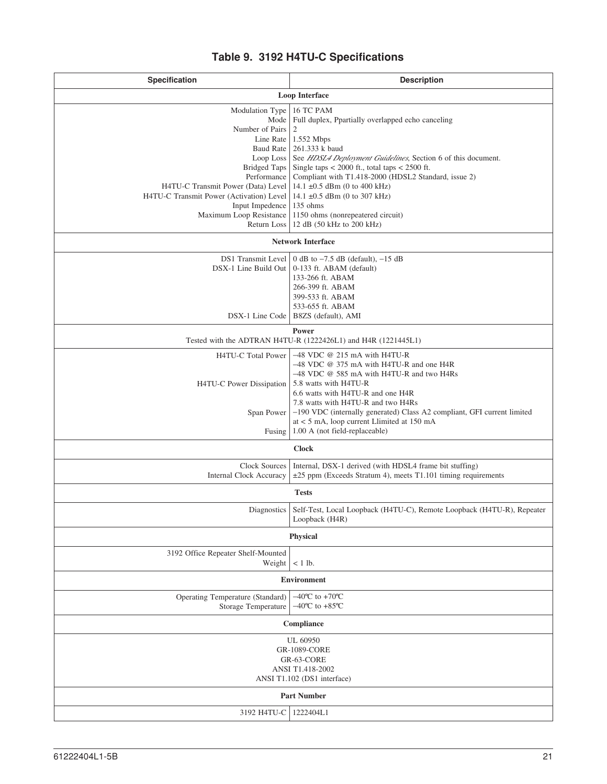| Specification                                                                                                                                                                                                                                                                 | <b>Description</b>                                                                                                                                                                                                                                                                                                                                                                                                                       |  |  |
|-------------------------------------------------------------------------------------------------------------------------------------------------------------------------------------------------------------------------------------------------------------------------------|------------------------------------------------------------------------------------------------------------------------------------------------------------------------------------------------------------------------------------------------------------------------------------------------------------------------------------------------------------------------------------------------------------------------------------------|--|--|
|                                                                                                                                                                                                                                                                               | <b>Loop Interface</b>                                                                                                                                                                                                                                                                                                                                                                                                                    |  |  |
| Modulation Type<br>Mode<br>Number of Pairs<br>Line Rate<br><b>Baud Rate</b><br>Loop Loss<br><b>Bridged Taps</b><br>Performance<br>H4TU-C Transmit Power (Data) Level<br>H4TU-C Transmit Power (Activation) Level<br>Input Impedence<br>Maximum Loop Resistance<br>Return Loss | 16 TC PAM<br>Full duplex, Ppartially overlapped echo canceling<br>2<br>1.552 Mbps<br>261.333 k baud<br>See HDSL4 Deployment Guidelines, Section 6 of this document.<br>Single taps $<$ 2000 ft., total taps $<$ 2500 ft.<br>Compliant with T1.418-2000 (HDSL2 Standard, issue 2)<br>14.1 $\pm 0.5$ dBm (0 to 400 kHz)<br>14.1 $\pm 0.5$ dBm (0 to 307 kHz)<br>135 ohms<br>1150 ohms (nonrepeatered circuit)<br>12 dB (50 kHz to 200 kHz) |  |  |
|                                                                                                                                                                                                                                                                               | <b>Network Interface</b>                                                                                                                                                                                                                                                                                                                                                                                                                 |  |  |
| DS1 Transmit Level<br>DSX-1 Line Build Out<br>DSX-1 Line Code                                                                                                                                                                                                                 | 0 dB to $-7.5$ dB (default), $-15$ dB<br>0-133 ft. ABAM (default)<br>133-266 ft. ABAM<br>266-399 ft. ABAM<br>399-533 ft. ABAM<br>533-655 ft. ABAM<br>B8ZS (default), AMI                                                                                                                                                                                                                                                                 |  |  |
|                                                                                                                                                                                                                                                                               | Power<br>Tested with the ADTRAN H4TU-R (1222426L1) and H4R (1221445L1)                                                                                                                                                                                                                                                                                                                                                                   |  |  |
| H4TU-C Total Power<br>H4TU-C Power Dissipation<br>Span Power<br>Fusing                                                                                                                                                                                                        | $-48$ VDC @ 215 mA with H4TU-R<br>$-48$ VDC @ 375 mA with H4TU-R and one H4R<br>-48 VDC @ 585 mA with H4TU-R and two H4Rs<br>5.8 watts with H4TU-R<br>6.6 watts with H4TU-R and one H4R<br>7.8 watts with H4TU-R and two H4Rs<br>-190 VDC (internally generated) Class A2 compliant, GFI current limited<br>at $<$ 5 mA, loop current Llimited at 150 mA<br>1.00 A (not field-replaceable)                                               |  |  |
|                                                                                                                                                                                                                                                                               | <b>Clock</b>                                                                                                                                                                                                                                                                                                                                                                                                                             |  |  |
| Clock Sources<br><b>Internal Clock Accuracy</b>                                                                                                                                                                                                                               | Internal, DSX-1 derived (with HDSL4 frame bit stuffing)<br>$\pm 25$ ppm (Exceeds Stratum 4), meets T1.101 timing requirements                                                                                                                                                                                                                                                                                                            |  |  |
|                                                                                                                                                                                                                                                                               | <b>Tests</b>                                                                                                                                                                                                                                                                                                                                                                                                                             |  |  |
|                                                                                                                                                                                                                                                                               | Diagnostics   Self-Test, Local Loopback (H4TU-C), Remote Loopback (H4TU-R), Repeater<br>Loopback (H4R)                                                                                                                                                                                                                                                                                                                                   |  |  |
| <b>Physical</b>                                                                                                                                                                                                                                                               |                                                                                                                                                                                                                                                                                                                                                                                                                                          |  |  |
| 3192 Office Repeater Shelf-Mounted<br>Weight                                                                                                                                                                                                                                  | $< 1$ lb.                                                                                                                                                                                                                                                                                                                                                                                                                                |  |  |
|                                                                                                                                                                                                                                                                               | <b>Environment</b>                                                                                                                                                                                                                                                                                                                                                                                                                       |  |  |
| Operating Temperature (Standard)<br>Storage Temperature                                                                                                                                                                                                                       | $-40^{\circ}$ C to $+70^{\circ}$ C<br>$-40^{\circ}$ C to $+85^{\circ}$ C                                                                                                                                                                                                                                                                                                                                                                 |  |  |
| Compliance                                                                                                                                                                                                                                                                    |                                                                                                                                                                                                                                                                                                                                                                                                                                          |  |  |
| <b>UL 60950</b><br><b>GR-1089-CORE</b><br>GR-63-CORE<br>ANSI T1.418-2002<br>ANSI T1.102 (DS1 interface)                                                                                                                                                                       |                                                                                                                                                                                                                                                                                                                                                                                                                                          |  |  |
|                                                                                                                                                                                                                                                                               | <b>Part Number</b>                                                                                                                                                                                                                                                                                                                                                                                                                       |  |  |
| 3192 H4TU-C                                                                                                                                                                                                                                                                   | 1222404L1                                                                                                                                                                                                                                                                                                                                                                                                                                |  |  |

# **Table 9. 3192 H4TU-C Specifications**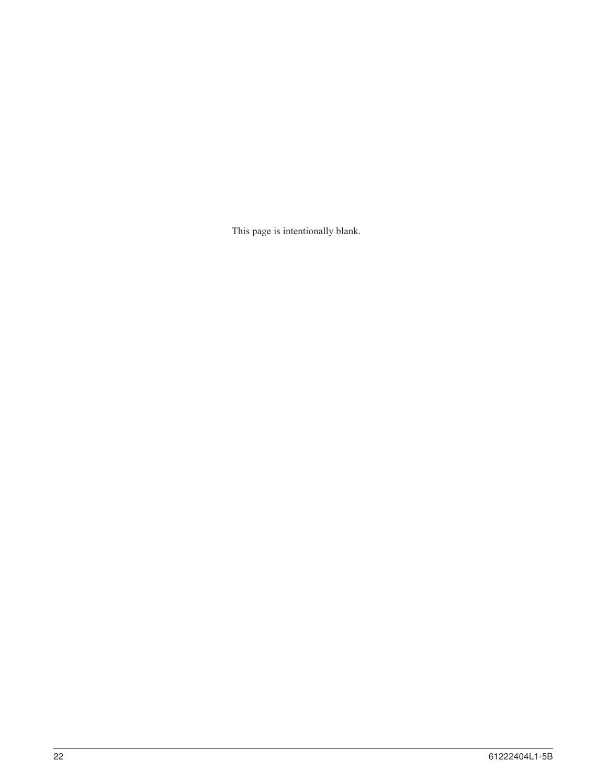This page is intentionally blank.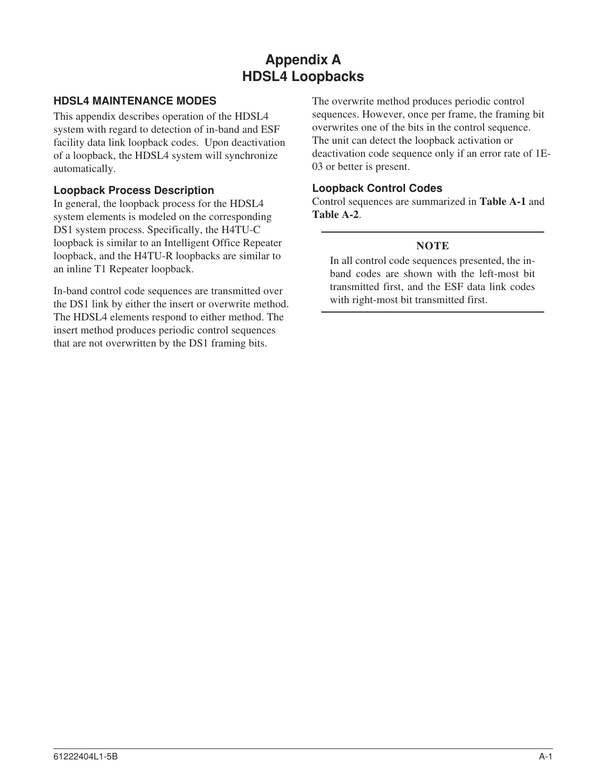# **Appendix A HDSL4 Loopbacks**

### **HDSL4 MAINTENANCE MODES**

This appendix describes operation of the HDSL4 system with regard to detection of in-band and ESF facility data link loopback codes. Upon deactivation of a loopback, the HDSL4 system will synchronize automatically.

#### **Loopback Process Description**

In general, the loopback process for the HDSL4 system elements is modeled on the corresponding DS1 system process. Specifically, the H4TU-C loopback is similar to an Intelligent Office Repeater loopback, and the H4TU-R loopbacks are similar to an inline T1 Repeater loopback.

In-band control code sequences are transmitted over the DS1 link by either the insert or overwrite method. The HDSL4 elements respond to either method. The insert method produces periodic control sequences that are not overwritten by the DS1 framing bits.

The overwrite method produces periodic control sequences. However, once per frame, the framing bit overwrites one of the bits in the control sequence. The unit can detect the loopback activation or deactivation code sequence only if an error rate of 1E-03 or better is present.

#### **Loopback Control Codes**

Control sequences are summarized in **Table A-1** and **Table A-2**.

#### **NOTE**

In all control code sequences presented, the inband codes are shown with the left-most bit transmitted first, and the ESF data link codes with right-most bit transmitted first.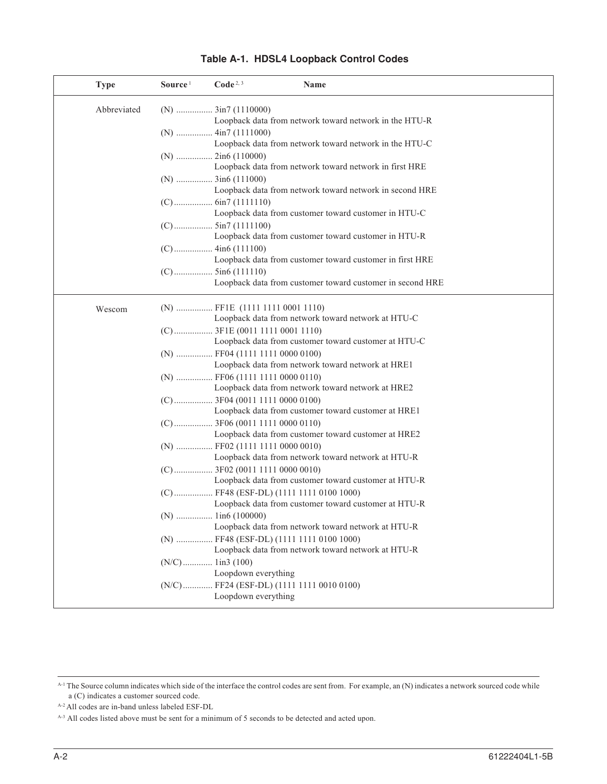| <b>Type</b> | Source $1$         | Code <sup>2, 3</sup>                      | Name                                                      |
|-------------|--------------------|-------------------------------------------|-----------------------------------------------------------|
| Abbreviated |                    | $(N)$ 3in7 (1110000)                      | Loopback data from network toward network in the HTU-R    |
|             |                    |                                           | Loopback data from network toward network in the HTU-C    |
|             |                    | (N)  2in6 (110000)                        | Loopback data from network toward network in first HRE    |
|             |                    |                                           | Loopback data from network toward network in second HRE   |
|             |                    |                                           |                                                           |
|             |                    |                                           | Loopback data from customer toward customer in HTU-C      |
|             |                    |                                           | Loopback data from customer toward customer in HTU-R      |
|             |                    |                                           | Loopback data from customer toward customer in first HRE  |
|             |                    |                                           | Loopback data from customer toward customer in second HRE |
| Wescom      |                    | (N)  FF1E (1111 1111 0001 1110)           | Loopback data from network toward network at HTU-C        |
|             |                    | (C)  3F1E (0011 1111 0001 1110)           |                                                           |
|             |                    | (N)  FF04 (1111 1111 0000 0100)           | Loopback data from customer toward customer at HTU-C      |
|             |                    |                                           | Loopback data from network toward network at HRE1         |
|             |                    | (N)  FF06 (1111 1111 0000 0110)           | Loopback data from network toward network at HRE2         |
|             |                    |                                           | Loopback data from customer toward customer at HRE1       |
|             |                    |                                           | Loopback data from customer toward customer at HRE2       |
|             |                    | (N)  FF02 (1111 1111 0000 0010)           | Loopback data from network toward network at HTU-R        |
|             |                    |                                           | Loopback data from customer toward customer at HTU-R      |
|             |                    | (C)  FF48 (ESF-DL) (1111 1111 0100 1000)  | Loopback data from customer toward customer at HTU-R      |
|             | (N)                |                                           |                                                           |
|             |                    | (N)  FF48 (ESF-DL) (1111 1111 0100 1000)  | Loopback data from network toward network at HTU-R        |
|             |                    |                                           | Loopback data from network toward network at HTU-R        |
|             | $(N/C)$ 1in3 (100) | Loopdown everything                       |                                                           |
|             |                    | (N/C) FF24 (ESF-DL) (1111 1111 0010 0100) |                                                           |
|             |                    | Loopdown everything                       |                                                           |

#### **Table A-1. HDSL4 Loopback Control Codes**

<sup>&</sup>lt;sup>A-1</sup> The Source column indicates which side of the interface the control codes are sent from. For example, an (N) indicates a network sourced code while a (C) indicates a customer sourced code.

A-2 All codes are in-band unless labeled ESF-DL

<sup>&</sup>lt;sup>A-3</sup> All codes listed above must be sent for a minimum of 5 seconds to be detected and acted upon.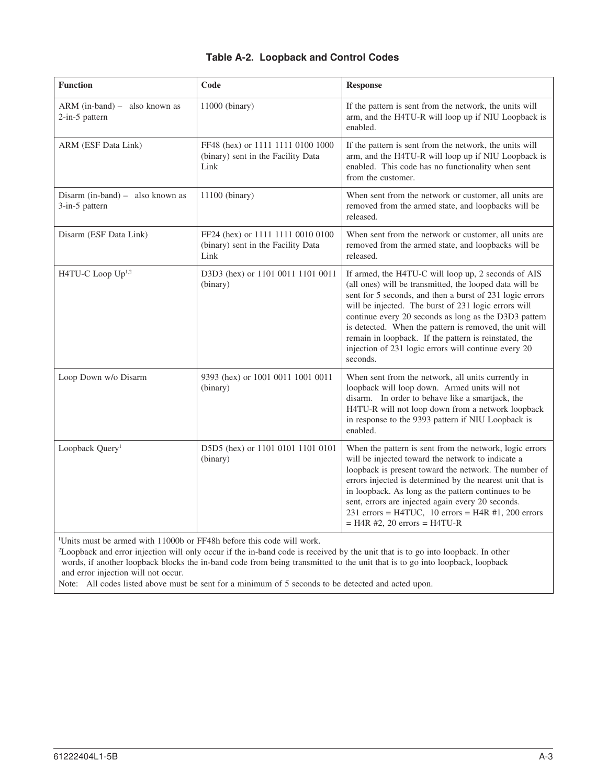|  | Table A-2. Loopback and Control Codes |  |  |  |
|--|---------------------------------------|--|--|--|
|--|---------------------------------------|--|--|--|

| <b>Function</b>                                      | Code                                                                            | <b>Response</b>                                                                                                                                                                                                                                                                                                                                                                                                                                                                     |
|------------------------------------------------------|---------------------------------------------------------------------------------|-------------------------------------------------------------------------------------------------------------------------------------------------------------------------------------------------------------------------------------------------------------------------------------------------------------------------------------------------------------------------------------------------------------------------------------------------------------------------------------|
| $ARM$ (in-band) – also known as<br>2-in-5 pattern    | 11000 (binary)                                                                  | If the pattern is sent from the network, the units will<br>arm, and the H4TU-R will loop up if NIU Loopback is<br>enabled.                                                                                                                                                                                                                                                                                                                                                          |
| ARM (ESF Data Link)                                  | FF48 (hex) or 1111 1111 0100 1000<br>(binary) sent in the Facility Data<br>Link | If the pattern is sent from the network, the units will<br>arm, and the H4TU-R will loop up if NIU Loopback is<br>enabled. This code has no functionality when sent<br>from the customer.                                                                                                                                                                                                                                                                                           |
| Disarm $(in-band)$ – also known as<br>3-in-5 pattern | 11100 (binary)                                                                  | When sent from the network or customer, all units are<br>removed from the armed state, and loopbacks will be<br>released.                                                                                                                                                                                                                                                                                                                                                           |
| Disarm (ESF Data Link)                               | FF24 (hex) or 1111 1111 0010 0100<br>(binary) sent in the Facility Data<br>Link | When sent from the network or customer, all units are<br>removed from the armed state, and loopbacks will be<br>released.                                                                                                                                                                                                                                                                                                                                                           |
| H4TU-C Loop Up <sup>1,2</sup>                        | D3D3 (hex) or 1101 0011 1101 0011<br>(binary)                                   | If armed, the H4TU-C will loop up, 2 seconds of AIS<br>(all ones) will be transmitted, the looped data will be<br>sent for 5 seconds, and then a burst of 231 logic errors<br>will be injected. The burst of 231 logic errors will<br>continue every 20 seconds as long as the D3D3 pattern<br>is detected. When the pattern is removed, the unit will<br>remain in loopback. If the pattern is reinstated, the<br>injection of 231 logic errors will continue every 20<br>seconds. |
| Loop Down w/o Disarm                                 | 9393 (hex) or 1001 0011 1001 0011<br>(binary)                                   | When sent from the network, all units currently in<br>loopback will loop down. Armed units will not<br>disarm. In order to behave like a smartjack, the<br>H4TU-R will not loop down from a network loopback<br>in response to the 9393 pattern if NIU Loopback is<br>enabled.                                                                                                                                                                                                      |
| Loopback Query <sup>1</sup>                          | D5D5 (hex) or 1101 0101 1101 0101<br>(binary)                                   | When the pattern is sent from the network, logic errors<br>will be injected toward the network to indicate a<br>loopback is present toward the network. The number of<br>errors injected is determined by the nearest unit that is<br>in loopback. As long as the pattern continues to be<br>sent, errors are injected again every 20 seconds.<br>231 errors = H4TUC, 10 errors = H4R $#1$ , 200 errors<br>$=$ H4R #2, 20 errors $=$ H4TU-R                                         |

1 Units must be armed with 11000b or FF48h before this code will work.

2 Loopback and error injection will only occur if the in-band code is received by the unit that is to go into loopback. In other words, if another loopback blocks the in-band code from being transmitted to the unit that is to go into loopback, loopback and error injection will not occur.

Note: All codes listed above must be sent for a minimum of 5 seconds to be detected and acted upon.